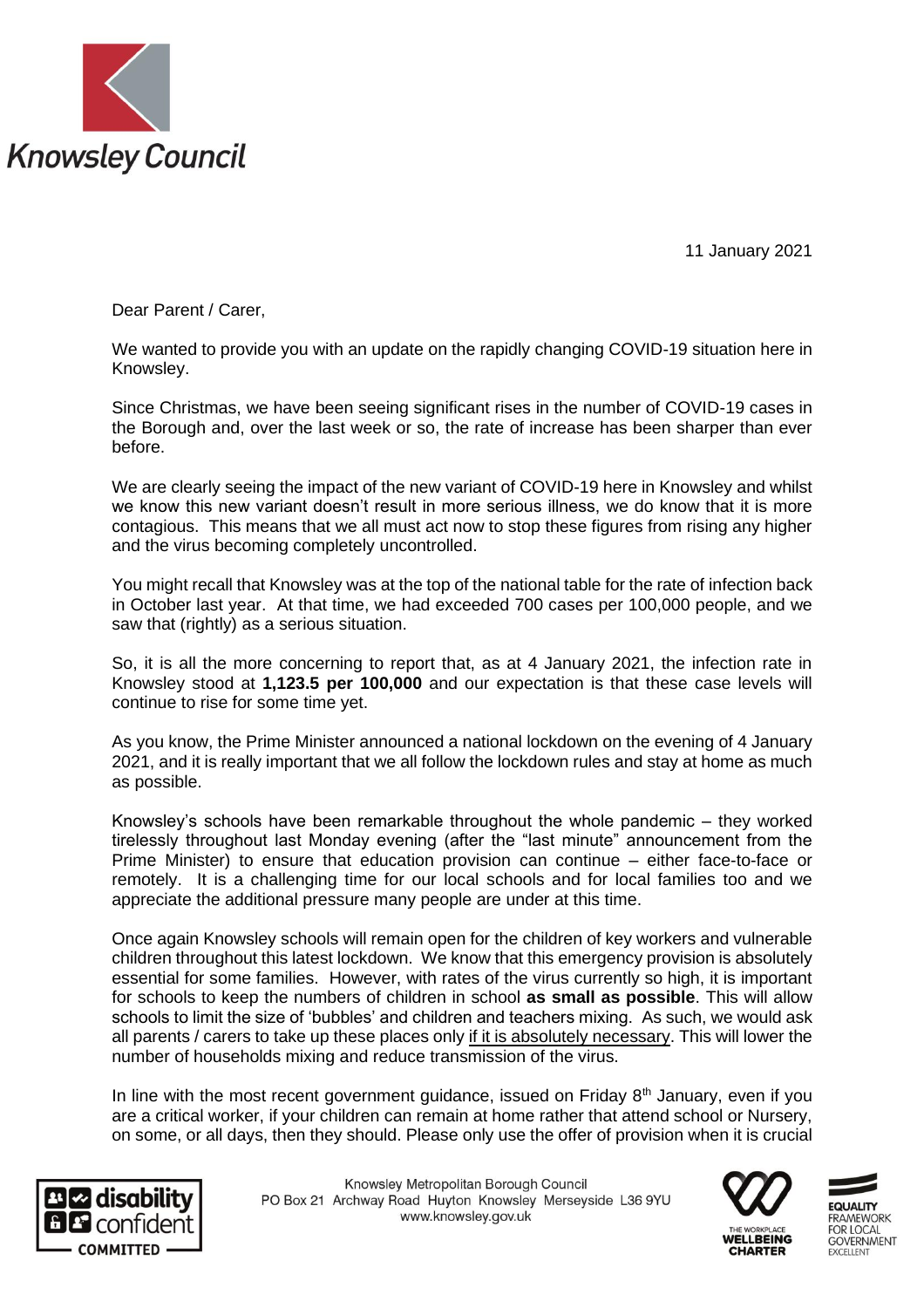

11 January 2021

Dear Parent / Carer,

We wanted to provide you with an update on the rapidly changing COVID-19 situation here in Knowsley.

Since Christmas, we have been seeing significant rises in the number of COVID-19 cases in the Borough and, over the last week or so, the rate of increase has been sharper than ever before.

We are clearly seeing the impact of the new variant of COVID-19 here in Knowsley and whilst we know this new variant doesn't result in more serious illness, we do know that it is more contagious. This means that we all must act now to stop these figures from rising any higher and the virus becoming completely uncontrolled.

You might recall that Knowsley was at the top of the national table for the rate of infection back in October last year. At that time, we had exceeded 700 cases per 100,000 people, and we saw that (rightly) as a serious situation.

So, it is all the more concerning to report that, as at 4 January 2021, the infection rate in Knowsley stood at **1,123.5 per 100,000** and our expectation is that these case levels will continue to rise for some time yet.

As you know, the Prime Minister announced a national lockdown on the evening of 4 January 2021, and it is really important that we all follow the lockdown rules and stay at home as much as possible.

Knowsley's schools have been remarkable throughout the whole pandemic – they worked tirelessly throughout last Monday evening (after the "last minute" announcement from the Prime Minister) to ensure that education provision can continue – either face-to-face or remotely. It is a challenging time for our local schools and for local families too and we appreciate the additional pressure many people are under at this time.

Once again Knowsley schools will remain open for the children of key workers and vulnerable children throughout this latest lockdown. We know that this emergency provision is absolutely essential for some families. However, with rates of the virus currently so high, it is important for schools to keep the numbers of children in school **as small as possible**. This will allow schools to limit the size of 'bubbles' and children and teachers mixing. As such, we would ask all parents / carers to take up these places only if it is absolutely necessary. This will lower the number of households mixing and reduce transmission of the virus.

In line with the most recent government guidance, issued on Friday  $8<sup>th</sup>$  January, even if you are a critical worker, if your children can remain at home rather that attend school or Nursery, on some, or all days, then they should. Please only use the offer of provision when it is crucial



Knowsley Metropolitan Borough Council PO Box 21 Archway Road Huyton Knowsley Merseyside L36 9YU www.knowsley.gov.uk